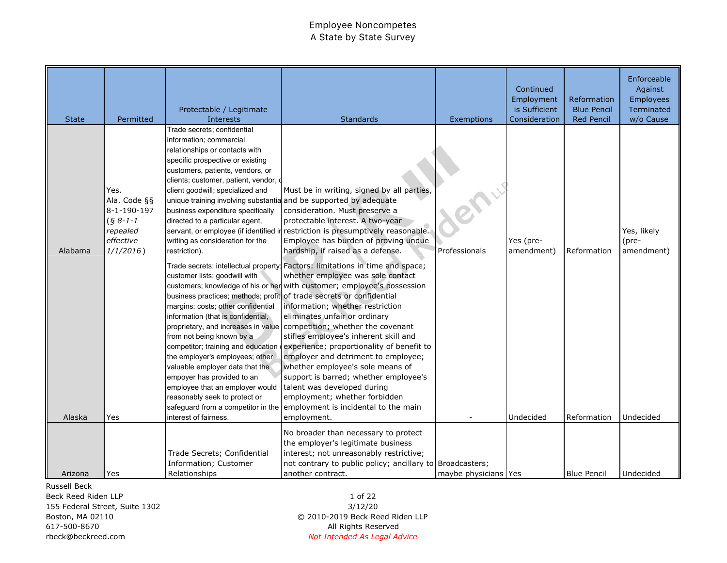| <b>State</b> | Permitted                                                                                   | Protectable / Legitimate<br>Interests                                                                                                                                                                                                                                                                                                                                         | <b>Standards</b>                                                                                                                                                                                                                                                                                                                                                                                                                                                                                                                                                                                                                                                                                                                                                                        | Exemptions           | Continued<br>Employment<br>is Sufficient<br>Consideration | Reformation<br><b>Blue Pencil</b><br><b>Red Pencil</b> | Enforceable<br>Against<br><b>Employees</b><br>Terminated<br>w/o Cause |
|--------------|---------------------------------------------------------------------------------------------|-------------------------------------------------------------------------------------------------------------------------------------------------------------------------------------------------------------------------------------------------------------------------------------------------------------------------------------------------------------------------------|-----------------------------------------------------------------------------------------------------------------------------------------------------------------------------------------------------------------------------------------------------------------------------------------------------------------------------------------------------------------------------------------------------------------------------------------------------------------------------------------------------------------------------------------------------------------------------------------------------------------------------------------------------------------------------------------------------------------------------------------------------------------------------------------|----------------------|-----------------------------------------------------------|--------------------------------------------------------|-----------------------------------------------------------------------|
| Alabama      | Yes.<br>Ala. Code §§<br>8-1-190-197<br>$(S 8-1-1)$<br>repealed<br>effective<br>$1/1/2016$ ) | Trade secrets; confidential<br>information; commercial<br>relationships or contacts with<br>specific prospective or existing<br>customers, patients, vendors, or<br>clients; customer, patient, vendor, o<br>client goodwill; specialized and<br>business expenditure specifically<br>directed to a particular agent,<br>writing as consideration for the<br>restriction).    | Must be in writing, signed by all parties,<br>unique training involving substantia and be supported by adequate<br>consideration. Must preserve a<br>protectable interest. A two-year<br>servant, or employee (if identified in restriction is presumptively reasonable.<br>Employee has burden of proving undue<br>hardship, if raised as a defense.                                                                                                                                                                                                                                                                                                                                                                                                                                   | Professionals        | Yes (pre-<br>amendment)                                   | Reformation                                            | Yes, likely<br>(pre-<br>amendment)                                    |
| Alaska       | Yes                                                                                         | customer lists; goodwill with<br>margins; costs; other confidential<br>information (that is confidential,<br>from not being known by a<br>competitor; training and education<br>the employer's employees; other<br>valuable employer data that the<br>empoyer has provided to an<br>employee that an employer would<br>reasonably seek to protect or<br>interest of fairness. | Trade secrets; intellectual property; Factors: limitations in time and space;<br>whether employee was sole contact<br>customers; knowledge of his or her with customer; employee's possession<br>business practices; methods; profit of trade secrets or confidential<br>information; whether restriction<br>eliminates unfair or ordinary<br>proprietary, and increases in value competition; whether the covenant<br>stifles employee's inherent skill and<br>experience; proportionality of benefit to<br>employer and detriment to employee;<br>whether employee's sole means of<br>support is barred; whether employee's<br>talent was developed during<br>employment; whether forbidden<br>safeguard from a competitor in the employment is incidental to the main<br>employment. |                      | Undecided                                                 | Reformation                                            | Undecided                                                             |
|              |                                                                                             |                                                                                                                                                                                                                                                                                                                                                                               | No broader than necessary to protect                                                                                                                                                                                                                                                                                                                                                                                                                                                                                                                                                                                                                                                                                                                                                    |                      |                                                           |                                                        |                                                                       |
| Arizona      | Yes                                                                                         | Trade Secrets; Confidential<br>Information; Customer<br>Relationships                                                                                                                                                                                                                                                                                                         | the employer's legitimate business<br>interest; not unreasonably restrictive;<br>not contrary to public policy; ancillary to Broadcasters;<br>another contract.                                                                                                                                                                                                                                                                                                                                                                                                                                                                                                                                                                                                                         | maybe physicians Yes |                                                           | <b>Blue Pencil</b>                                     | Undecided                                                             |

Russell Beck Beck Reed Riden LLP 155 Federal Street, Suite 1302 Boston, MA 02110 617-500-8670 rbeck@beckreed.com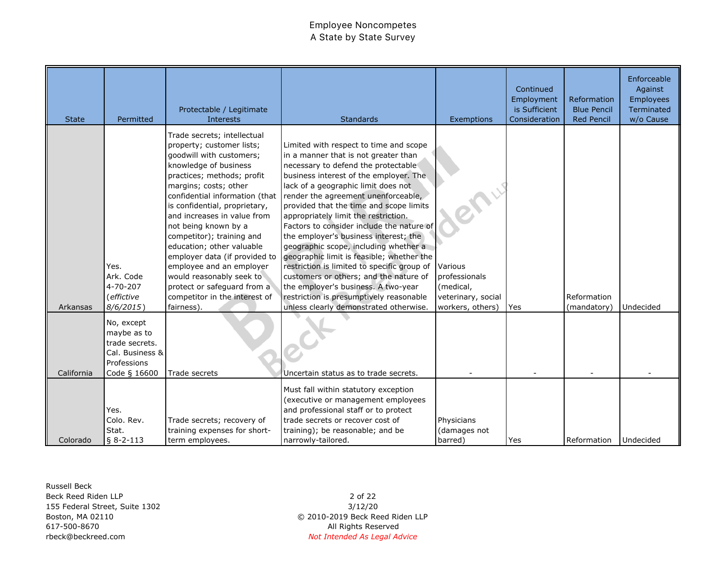| <b>State</b> | Permitted                                                                                     | Protectable / Legitimate<br>Interests                                                                                                                                                                                                                                                                                                                                                                                                                                                                                           | <b>Standards</b>                                                                                                                                                                                                                                                                                                                                                                                                                                                                                                                                                                                                                                                                                                                  | Exemptions                                                                      | Continued<br>Employment<br>is Sufficient<br>Consideration | Reformation<br><b>Blue Pencil</b><br><b>Red Pencil</b> | Enforceable<br>Against<br>Employees<br>Terminated<br>w/o Cause |
|--------------|-----------------------------------------------------------------------------------------------|---------------------------------------------------------------------------------------------------------------------------------------------------------------------------------------------------------------------------------------------------------------------------------------------------------------------------------------------------------------------------------------------------------------------------------------------------------------------------------------------------------------------------------|-----------------------------------------------------------------------------------------------------------------------------------------------------------------------------------------------------------------------------------------------------------------------------------------------------------------------------------------------------------------------------------------------------------------------------------------------------------------------------------------------------------------------------------------------------------------------------------------------------------------------------------------------------------------------------------------------------------------------------------|---------------------------------------------------------------------------------|-----------------------------------------------------------|--------------------------------------------------------|----------------------------------------------------------------|
| Arkansas     | Yes.<br>Ark. Code<br>$4 - 70 - 207$<br>(effictive<br>$8/6/2015$ )                             | Trade secrets; intellectual<br>property; customer lists;<br>goodwill with customers;<br>knowledge of business<br>practices; methods; profit<br>margins; costs; other<br>confidential information (that<br>is confidential, proprietary,<br>and increases in value from<br>not being known by a<br>competitor); training and<br>education; other valuable<br>employer data (if provided to<br>employee and an employer<br>would reasonably seek to<br>protect or safeguard from a<br>competitor in the interest of<br>fairness). | Limited with respect to time and scope<br>in a manner that is not greater than<br>necessary to defend the protectable<br>business interest of the employer. The<br>lack of a geographic limit does not<br>render the agreement unenforceable,<br>provided that the time and scope limits<br>appropriately limit the restriction.<br>Factors to consider include the nature of<br>the employer's business interest; the<br>geographic scope, including whether a<br>geographic limit is feasible; whether the<br>restriction is limited to specific group of<br>customers or others; and the nature of<br>the employer's business. A two-year<br>restriction is presumptively reasonable<br>unless clearly demonstrated otherwise. | Various<br>professionals<br>(medical,<br>veterinary, social<br>workers, others) | Yes                                                       | Reformation<br>(mandatory)                             | Undecided                                                      |
| California   | No, except<br>maybe as to<br>trade secrets.<br>Cal. Business &<br>Professions<br>Code § 16600 | Trade secrets                                                                                                                                                                                                                                                                                                                                                                                                                                                                                                                   | Uncertain status as to trade secrets.                                                                                                                                                                                                                                                                                                                                                                                                                                                                                                                                                                                                                                                                                             |                                                                                 |                                                           |                                                        |                                                                |
| Colorado     | Yes.<br>Colo. Rev.<br>Stat.<br>$§ 8 - 2 - 113$                                                | Trade secrets; recovery of<br>training expenses for short-<br>term employees.                                                                                                                                                                                                                                                                                                                                                                                                                                                   | Must fall within statutory exception<br>(executive or management employees<br>and professional staff or to protect<br>trade secrets or recover cost of<br>training); be reasonable; and be<br>narrowly-tailored.                                                                                                                                                                                                                                                                                                                                                                                                                                                                                                                  | Physicians<br>(damages not<br>barred)                                           | Yes                                                       | Reformation                                            | Undecided                                                      |

Russell Beck Beck Reed Riden LLP 155 Federal Street, Suite 1302 Boston, MA 02110 617-500-8670 rbeck@beckreed.com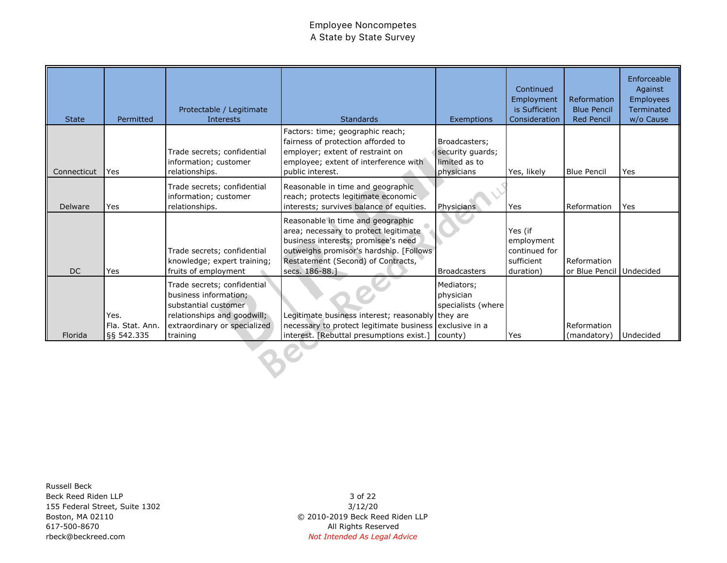| <b>State</b>   | Permitted                             | Protectable / Legitimate<br>Interests                                                                                                                   | <b>Standards</b>                                                                                                                                                                                                      | <b>Exemptions</b>                                                | Continued<br>Employment<br>is Sufficient<br>Consideration         | Reformation<br><b>Blue Pencil</b><br><b>Red Pencil</b> | Enforceable<br>Against<br><b>Employees</b><br>Terminated<br>w/o Cause |
|----------------|---------------------------------------|---------------------------------------------------------------------------------------------------------------------------------------------------------|-----------------------------------------------------------------------------------------------------------------------------------------------------------------------------------------------------------------------|------------------------------------------------------------------|-------------------------------------------------------------------|--------------------------------------------------------|-----------------------------------------------------------------------|
| Connecticut    | Yes                                   | Trade secrets; confidential<br>information; customer<br>relationships.                                                                                  | Factors: time; geographic reach;<br>fairness of protection afforded to<br>employer; extent of restraint on<br>employee; extent of interference with<br>public interest.                                               | Broadcasters;<br>security guards;<br>limited as to<br>physicians | Yes, likely                                                       | <b>Blue Pencil</b>                                     | Yes                                                                   |
| <b>Delware</b> | Yes                                   | Trade secrets; confidential<br>information; customer<br>relationships.                                                                                  | Reasonable in time and geographic<br>reach; protects legitimate economic<br>interests; survives balance of equities.                                                                                                  | Physicians                                                       | Yes                                                               | Reformation                                            | Yes                                                                   |
| <b>DC</b>      | Yes                                   | Trade secrets; confidential<br>knowledge; expert training;<br>fruits of employment                                                                      | Reasonable in time and geographic<br>area; necessary to protect legitimate<br>business interests; promisee's need<br>outweighs promisor's hardship. [Follows]<br>Restatement (Second) of Contracts,<br>secs. 186-88.] | <b>Broadcasters</b>                                              | Yes (if<br>employment<br>continued for<br>sufficient<br>duration) | Reformation<br>or Blue Pencil Undecided                |                                                                       |
| Florida        | Yes.<br>Fla. Stat. Ann.<br>88 542.335 | Trade secrets; confidential<br>business information;<br>substantial customer<br>relationships and goodwill;<br>extraordinary or specialized<br>training | Legitimate business interest; reasonably they are<br>necessary to protect legitimate business exclusive in a<br>interest. [Rebuttal presumptions exist.]                                                              | Mediators;<br>physician<br>specialists (where<br>county)         | Yes                                                               | Reformation<br>(mandatory)                             | Undecided                                                             |

Russell Beck Beck Reed Riden LLP 155 Federal Street, Suite 1302 Boston, MA 02110 617-500-8670 rbeck@beckreed.com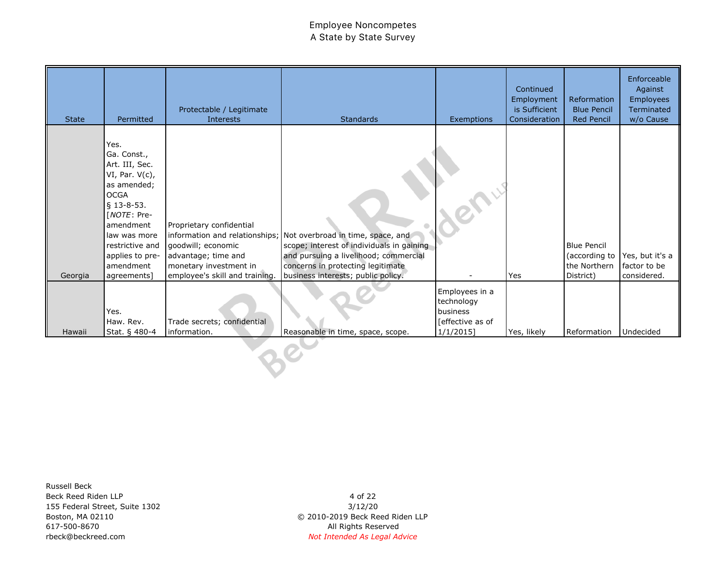| <b>State</b> | Permitted                                                                                                                                                                                                           | Protectable / Legitimate<br><b>Interests</b>                                                                                      | <b>Standards</b>                                                                                                                                                                                                                  | Exemptions                                                                   | Continued<br>Employment<br>is Sufficient<br>Consideration | Reformation<br><b>Blue Pencil</b><br><b>Red Pencil</b>           | Enforceable<br>Against<br><b>Employees</b><br>Terminated<br>w/o Cause |
|--------------|---------------------------------------------------------------------------------------------------------------------------------------------------------------------------------------------------------------------|-----------------------------------------------------------------------------------------------------------------------------------|-----------------------------------------------------------------------------------------------------------------------------------------------------------------------------------------------------------------------------------|------------------------------------------------------------------------------|-----------------------------------------------------------|------------------------------------------------------------------|-----------------------------------------------------------------------|
| Georgia      | Yes.<br>Ga. Const.,<br>Art. III, Sec.<br>VI, Par. V(c),<br>as amended;<br><b>OCGA</b><br>$§$ 13-8-53.<br>[NOTE: Pre-<br>amendment<br>law was more<br>restrictive and<br>applies to pre-<br>amendment<br>agreements] | Proprietary confidential<br>goodwill; economic<br>advantage; time and<br>monetary investment in<br>employee's skill and training. | information and relationships; Not overbroad in time, space, and<br>scope; interest of individuals in gaining<br>and pursuing a livelihood; commercial<br>concerns in protecting legitimate<br>business interests; public policy. |                                                                              | Yes                                                       | <b>Blue Pencil</b><br>(according to<br>the Northern<br>District) | Yes, but it's a<br>factor to be<br>considered.                        |
| Hawaii       | Yes.<br>Haw. Rev.<br>Stat. § 480-4                                                                                                                                                                                  | Trade secrets; confidential<br>information.                                                                                       | Reasonable in time, space, scope.                                                                                                                                                                                                 | Employees in a<br>technology<br>business<br>[effective as of<br>$1/1/2015$ ] | Yes, likely                                               | Reformation                                                      | Undecided                                                             |

Russell Beck Beck Reed Riden LLP 155 Federal Street, Suite 1302 Boston, MA 02110 617-500-8670 rbeck@beckreed.com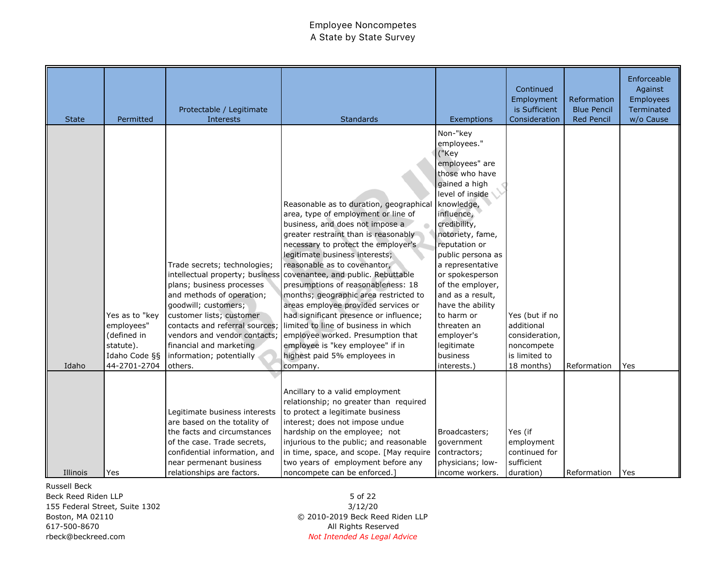| <b>State</b> | Permitted                                                                                 | Protectable / Legitimate<br>Interests                                                                                                                                                                                                                                          | <b>Standards</b>                                                                                                                                                                                                                                                                                                                                                                                                                                                                                                                                                                                                                                                      | Exemptions                                                                                                                                                                                                                                                                                                                                                                                            | Continued<br>Employment<br>is Sufficient<br>Consideration                                   | Reformation<br><b>Blue Pencil</b><br><b>Red Pencil</b> | Enforceable<br>Against<br><b>Employees</b><br>Terminated<br>w/o Cause |
|--------------|-------------------------------------------------------------------------------------------|--------------------------------------------------------------------------------------------------------------------------------------------------------------------------------------------------------------------------------------------------------------------------------|-----------------------------------------------------------------------------------------------------------------------------------------------------------------------------------------------------------------------------------------------------------------------------------------------------------------------------------------------------------------------------------------------------------------------------------------------------------------------------------------------------------------------------------------------------------------------------------------------------------------------------------------------------------------------|-------------------------------------------------------------------------------------------------------------------------------------------------------------------------------------------------------------------------------------------------------------------------------------------------------------------------------------------------------------------------------------------------------|---------------------------------------------------------------------------------------------|--------------------------------------------------------|-----------------------------------------------------------------------|
| Idaho        | Yes as to "key<br>employees"<br>(defined in<br>statute).<br>Idaho Code §§<br>44-2701-2704 | Trade secrets; technologies;<br>plans; business processes<br>and methods of operation;<br>goodwill; customers;<br>customer lists; customer<br>contacts and referral sources;<br>vendors and vendor contacts;<br>financial and marketing<br>information; potentially<br>others. | Reasonable as to duration, geographical<br>area, type of employment or line of<br>business, and does not impose a<br>greater restraint than is reasonably<br>necessary to protect the employer's<br>legitimate business interests;<br>reasonable as to covenantor,<br>intellectual property; business covenantee, and public. Rebuttable<br>presumptions of reasonableness: 18<br>months; geographic area restricted to<br>areas employee provided services or<br>had significant presence or influence;<br>limited to line of business in which<br>employee worked. Presumption that<br>employee is "key employee" if in<br>highest paid 5% employees in<br>company. | Non-"key<br>employees."<br>("Key<br>employees" are<br>those who have<br>gained a high<br>level of inside<br>knowledge,<br>influence,<br>credibility,<br>notoriety, fame,<br>reputation or<br>public persona as<br>a representative<br>or spokesperson<br>of the employer,<br>and as a result,<br>have the ability<br>to harm or<br>threaten an<br>employer's<br>legitimate<br>business<br>interests.) | Yes (but if no<br>additional<br>consideration,<br>noncompete<br>is limited to<br>18 months) | Reformation                                            | Yes                                                                   |
| Illinois     | Yes                                                                                       | Legitimate business interests<br>are based on the totality of<br>the facts and circumstances<br>of the case. Trade secrets,<br>confidential information, and<br>near permenant business<br>relationships are factors.                                                          | Ancillary to a valid employment<br>relationship; no greater than required<br>to protect a legitimate business<br>interest; does not impose undue<br>hardship on the employee; not<br>injurious to the public; and reasonable<br>in time, space, and scope. [May require<br>two years of employment before any<br>noncompete can be enforced.]                                                                                                                                                                                                                                                                                                                         | Broadcasters;<br>government<br>contractors;<br>physicians; low-<br>income workers.                                                                                                                                                                                                                                                                                                                    | Yes (if<br>employment<br>continued for<br>sufficient<br>duration)                           | Reformation                                            | Yes                                                                   |

Russell Beck

Beck Reed Riden LLP 155 Federal Street, Suite 1302 Boston, MA 02110 617-500-8670 rbeck@beckreed.com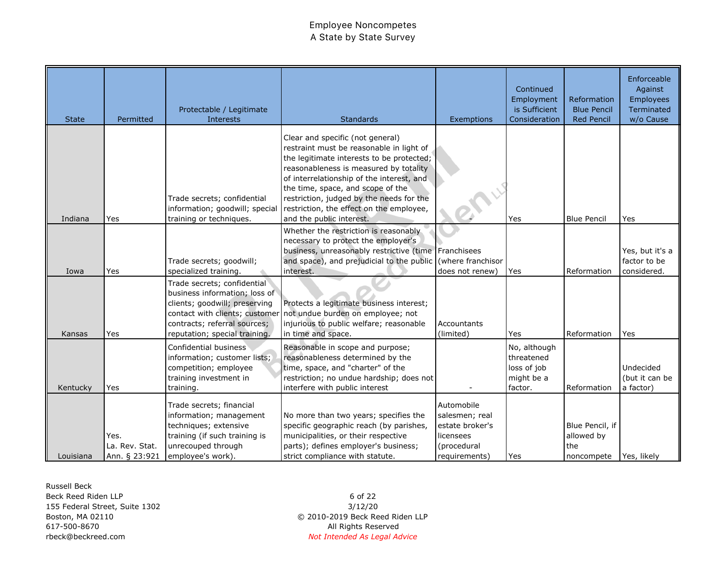| <b>State</b> | Permitted                               | Protectable / Legitimate<br>Interests                                                                                                                          | <b>Standards</b>                                                                                                                                                                                                                                                                                                                                                          | Exemptions                                                                                   | Continued<br>Employment<br>is Sufficient<br>Consideration          | Reformation<br><b>Blue Pencil</b><br><b>Red Pencil</b>         | Enforceable<br>Against<br>Employees<br>Terminated<br>w/o Cause |
|--------------|-----------------------------------------|----------------------------------------------------------------------------------------------------------------------------------------------------------------|---------------------------------------------------------------------------------------------------------------------------------------------------------------------------------------------------------------------------------------------------------------------------------------------------------------------------------------------------------------------------|----------------------------------------------------------------------------------------------|--------------------------------------------------------------------|----------------------------------------------------------------|----------------------------------------------------------------|
| Indiana      | Yes                                     | Trade secrets; confidential<br>information; goodwill; special<br>training or techniques.                                                                       | Clear and specific (not general)<br>restraint must be reasonable in light of<br>the legitimate interests to be protected;<br>reasonableness is measured by totality<br>of interrelationship of the interest, and<br>the time, space, and scope of the<br>restriction, judged by the needs for the<br>restriction, the effect on the employee,<br>and the public interest. |                                                                                              | Yes                                                                | <b>Blue Pencil</b>                                             | Yes                                                            |
| Iowa         | Yes                                     | Trade secrets; goodwill;<br>specialized training.                                                                                                              | Whether the restriction is reasonably<br>necessary to protect the employer's<br>business, unreasonably restrictive (time Franchisees<br>and space), and prejudicial to the public<br>interest.                                                                                                                                                                            | (where franchisor<br>does not renew)                                                         | Yes                                                                | Reformation                                                    | Yes, but it's a<br>factor to be<br>considered.                 |
| Kansas       | Yes                                     | Trade secrets; confidential<br>business information; loss of<br>clients; goodwill; preserving<br>contracts; referral sources;<br>reputation; special training. | Protects a legitimate business interest;<br>contact with clients; customer not undue burden on employee; not<br>injurious to public welfare; reasonable<br>in time and space.                                                                                                                                                                                             | Accountants<br>(limited)                                                                     | Yes                                                                | Reformation                                                    | Yes                                                            |
| Kentucky     | Yes                                     | Confidential business<br>information; customer lists;<br>competition; employee<br>training investment in<br>training.                                          | Reasonable in scope and purpose;<br>reasonableness determined by the<br>time, space, and "charter" of the<br>restriction; no undue hardship; does not<br>interfere with public interest                                                                                                                                                                                   |                                                                                              | No, although<br>threatened<br>loss of job<br>might be a<br>factor. | Reformation                                                    | Undecided<br>(but it can be<br>a factor)                       |
| Louisiana    | Yes.<br>La. Rev. Stat.<br>Ann. § 23:921 | Trade secrets; financial<br>information; management<br>techniques; extensive<br>training (if such training is<br>unrecouped through<br>employee's work).       | No more than two years; specifies the<br>specific geographic reach (by parishes,<br>municipalities, or their respective<br>parts); defines employer's business;<br>strict compliance with statute.                                                                                                                                                                        | Automobile<br>salesmen; real<br>estate broker's<br>licensees<br>(procedural<br>requirements) | Yes                                                                | Blue Pencil, if<br>allowed by<br>the<br>noncompete Yes, likely |                                                                |

Russell Beck Beck Reed Riden LLP 155 Federal Street, Suite 1302 Boston, MA 02110 617-500-8670 rbeck@beckreed.com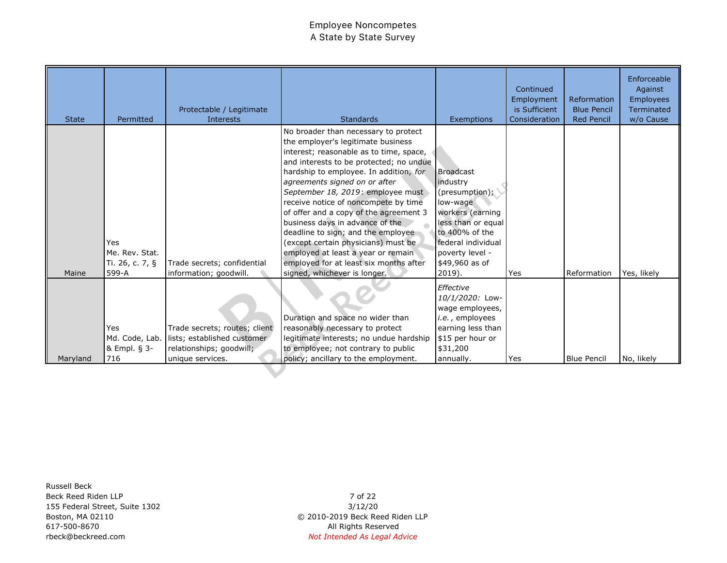| <b>State</b> | Permitted                                         | Protectable / Legitimate<br>Interests                                                                        | <b>Standards</b>                                                                                                                                                                                                                                                                                                                                                                                                                                                                                                                                                                                   | Exemptions                                                                                                                                                                                     | Continued<br>Employment<br>is Sufficient<br>Consideration | Reformation<br><b>Blue Pencil</b><br><b>Red Pencil</b> | Enforceable<br>Against<br><b>Employees</b><br>Terminated<br>w/o Cause |
|--------------|---------------------------------------------------|--------------------------------------------------------------------------------------------------------------|----------------------------------------------------------------------------------------------------------------------------------------------------------------------------------------------------------------------------------------------------------------------------------------------------------------------------------------------------------------------------------------------------------------------------------------------------------------------------------------------------------------------------------------------------------------------------------------------------|------------------------------------------------------------------------------------------------------------------------------------------------------------------------------------------------|-----------------------------------------------------------|--------------------------------------------------------|-----------------------------------------------------------------------|
| Maine        | Yes<br>Me. Rev. Stat.<br>Ti. 26, c. 7, §<br>599-A | Trade secrets; confidential<br>information; goodwill.                                                        | No broader than necessary to protect<br>the employer's legitimate business<br>interest; reasonable as to time, space,<br>and interests to be protected; no undue<br>hardship to employee. In addition, for<br>agreements signed on or after<br>September 18, 2019: employee must<br>receive notice of noncompete by time<br>of offer and a copy of the agreement 3<br>business days in advance of the<br>deadline to sign; and the employee<br>(except certain physicians) must be<br>employed at least a year or remain<br>employed for at least six months after<br>signed, whichever is longer. | <b>Broadcast</b><br>industry<br>(presumption);<br>low-wage<br>workers (earning<br>less than or equal<br>to 400% of the<br>federal individual<br>poverty level -<br>\$49,960 as of<br>$2019$ ). | Yes                                                       | Reformation                                            | Yes, likely                                                           |
| Maryland     | Yes<br>Md. Code, Lab.<br>& Empl. § 3-<br>716      | Trade secrets; routes; client<br>lists; established customer<br>relationships; goodwill;<br>unique services. | Duration and space no wider than<br>reasonably necessary to protect<br>legitimate interests; no undue hardship<br>to employee; not contrary to public<br>policy; ancillary to the employment.                                                                                                                                                                                                                                                                                                                                                                                                      | Effective<br>10/1/2020: Low-<br>wage employees,<br>i.e., employees<br>earning less than<br>\$15 per hour or<br>\$31,200<br>annually.                                                           | Yes                                                       | <b>Blue Pencil</b>                                     | No, likely                                                            |

Russell Beck Beck Reed Riden LLP 155 Federal Street, Suite 1302 Boston, MA 02110 617-500-8670 rbeck@beckreed.com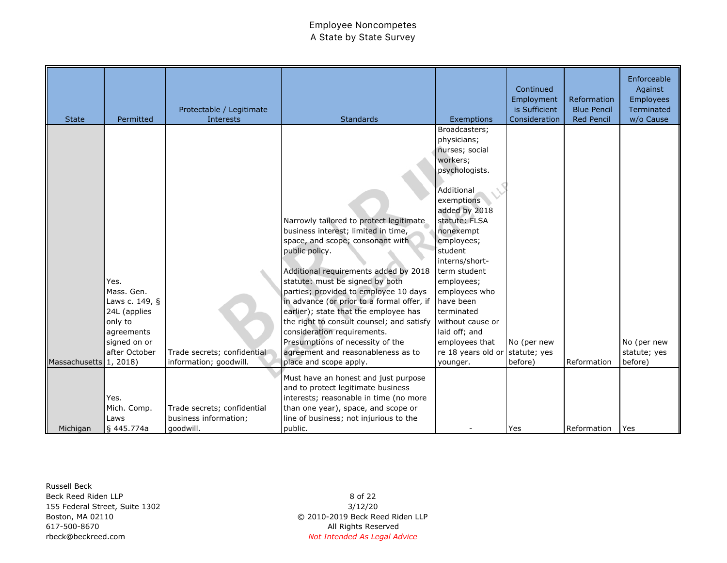| <b>State</b>           | Permitted                                                                                                      | Protectable / Legitimate<br>Interests                             | <b>Standards</b>                                                                                                                                                                                                                                                                                                                                                                                                                                                                                                                 | Exemptions                                                                                                                                                                                                                                                                                                                                                            | Continued<br>Employment<br>is Sufficient<br>Consideration | Reformation<br><b>Blue Pencil</b><br><b>Red Pencil</b> | Enforceable<br>Against<br>Employees<br>Terminated<br>w/o Cause |
|------------------------|----------------------------------------------------------------------------------------------------------------|-------------------------------------------------------------------|----------------------------------------------------------------------------------------------------------------------------------------------------------------------------------------------------------------------------------------------------------------------------------------------------------------------------------------------------------------------------------------------------------------------------------------------------------------------------------------------------------------------------------|-----------------------------------------------------------------------------------------------------------------------------------------------------------------------------------------------------------------------------------------------------------------------------------------------------------------------------------------------------------------------|-----------------------------------------------------------|--------------------------------------------------------|----------------------------------------------------------------|
| Massachusetts 1, 2018) | Yes.<br>Mass. Gen.<br>Laws c. 149, §<br>24L (applies<br>only to<br>agreements<br>signed on or<br>after October | Trade secrets; confidential<br>information; goodwill.             | Narrowly tailored to protect legitimate<br>business interest; limited in time,<br>space, and scope; consonant with<br>public policy.<br>Additional requirements added by 2018<br>statute: must be signed by both<br>parties; provided to employee 10 days<br>in advance (or prior to a formal offer, if<br>earlier); state that the employee has<br>the right to consult counsel; and satisfy<br>consideration requirements.<br>Presumptions of necessity of the<br>agreement and reasonableness as to<br>place and scope apply. | Broadcasters;<br>physicians;<br>nurses; social<br>workers;<br>psychologists.<br>Additional<br>exemptions<br>added by 2018<br>statute: FLSA<br>nonexempt<br>employees;<br>student<br>interns/short-<br>term student<br>employees;<br>employees who<br>have been<br>terminated<br>without cause or<br>laid off; and<br>employees that<br>re 18 years old or<br>younger. | No (per new<br>statute; yes<br>before)                    | Reformation                                            | No (per new<br>statute; yes<br>before)                         |
| Michigan               | Yes.<br>Mich. Comp.<br>Laws<br>§ 445.774a                                                                      | Trade secrets; confidential<br>business information;<br>goodwill. | Must have an honest and just purpose<br>and to protect legitimate business<br>interests; reasonable in time (no more<br>than one year), space, and scope or<br>line of business; not injurious to the<br>public.                                                                                                                                                                                                                                                                                                                 |                                                                                                                                                                                                                                                                                                                                                                       | Yes                                                       | Reformation                                            | <b>Yes</b>                                                     |

Russell Beck Beck Reed Riden LLP 155 Federal Street, Suite 1302 Boston, MA 02110 617-500-8670 rbeck@beckreed.com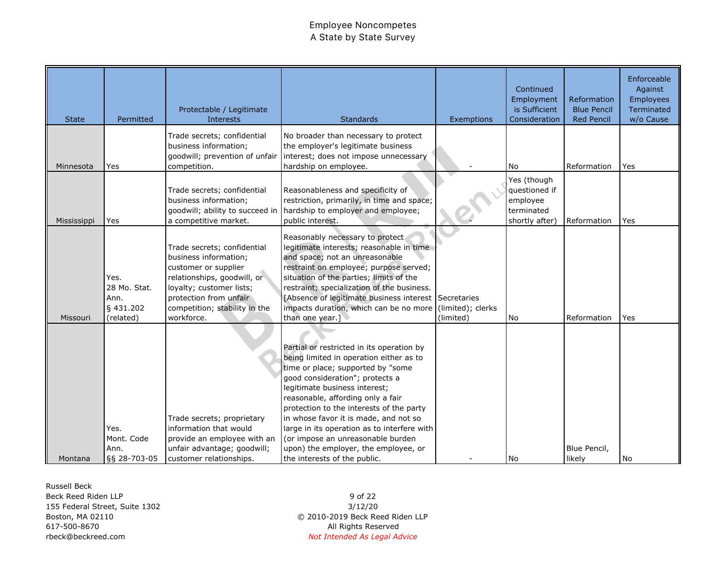| <b>State</b> | Permitted                                                | Protectable / Legitimate<br>Interests                                                                                                                                                                            | <b>Standards</b>                                                                                                                                                                                                                                                                                                                                                                                                                                                                    | Exemptions                     | Continued<br>Employment<br>is Sufficient<br>Consideration                | Reformation<br><b>Blue Pencil</b><br><b>Red Pencil</b> | Enforceable<br>Against<br>Employees<br>Terminated<br>w/o Cause |
|--------------|----------------------------------------------------------|------------------------------------------------------------------------------------------------------------------------------------------------------------------------------------------------------------------|-------------------------------------------------------------------------------------------------------------------------------------------------------------------------------------------------------------------------------------------------------------------------------------------------------------------------------------------------------------------------------------------------------------------------------------------------------------------------------------|--------------------------------|--------------------------------------------------------------------------|--------------------------------------------------------|----------------------------------------------------------------|
| Minnesota    | Yes                                                      | Trade secrets; confidential<br>business information;<br>goodwill; prevention of unfair<br>competition.                                                                                                           | No broader than necessary to protect<br>the employer's legitimate business<br>interest; does not impose unnecessary<br>hardship on employee.                                                                                                                                                                                                                                                                                                                                        |                                | No                                                                       | Reformation                                            | Yes                                                            |
| Mississippi  | Yes                                                      | Trade secrets; confidential<br>business information;<br>goodwill; ability to succeed in<br>a competitive market.                                                                                                 | Reasonableness and specificity of<br>restriction, primarily, in time and space;<br>hardship to employer and employee;<br>public interest.                                                                                                                                                                                                                                                                                                                                           |                                | Yes (though<br>questioned if<br>employee<br>terminated<br>shortly after) | Reformation                                            | Yes                                                            |
| Missouri     | Yes.<br>28 Mo. Stat.<br>Ann.<br>$§$ 431.202<br>(related) | Trade secrets; confidential<br>business information;<br>customer or supplier<br>relationships, goodwill, or<br>loyalty; customer lists;<br>protection from unfair<br>competition; stability in the<br>workforce. | Reasonably necessary to protect<br>legitimate interests; reasonable in time<br>and space; not an unreasonable<br>restraint on employee; purpose served;<br>situation of the parties; limits of the<br>restraint; specialization of the business.<br>[Absence of legitimate business interest Secretaries<br>impacts duration, which can be no more<br>than one year.]                                                                                                               | (limited); clerks<br>(limited) | No                                                                       | Reformation                                            | Yes                                                            |
| Montana      | Yes.<br>Mont. Code<br>Ann.<br>§§ 28-703-05               | Trade secrets; proprietary<br>information that would<br>provide an employee with an<br>unfair advantage; goodwill;<br>customer relationships.                                                                    | Partial or restricted in its operation by<br>being limited in operation either as to<br>time or place; supported by "some<br>good consideration"; protects a<br>legitimate business interest;<br>reasonable, affording only a fair<br>protection to the interests of the party<br>in whose favor it is made, and not so<br>large in its operation as to interfere with<br>(or impose an unreasonable burden<br>upon) the employer, the employee, or<br>the interests of the public. |                                | No                                                                       | Blue Pencil,<br>likely                                 | N <sub>o</sub>                                                 |

Russell Beck

Beck Reed Riden LLP 155 Federal Street, Suite 1302 Boston, MA 02110 617-500-8670 rbeck@beckreed.com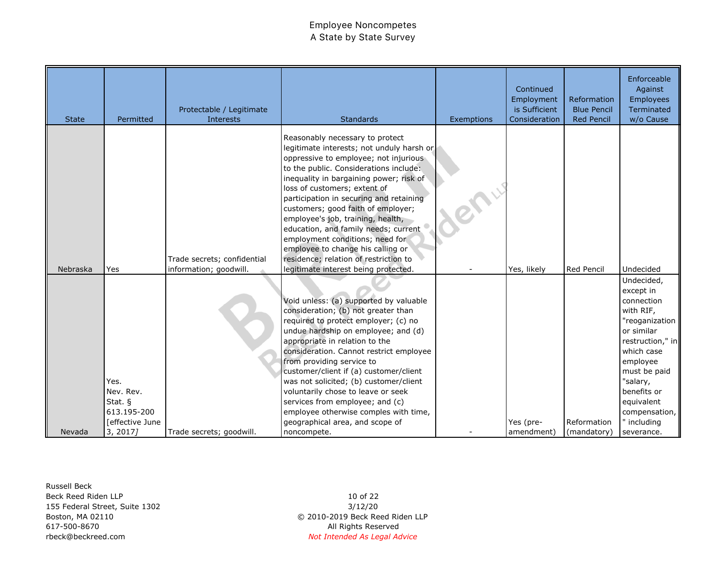| <b>State</b> | Permitted                                                         | Protectable / Legitimate<br>Interests | <b>Standards</b>                                                                                                                                                                                                                                                                                                                                                                                                                                                                                                          | Exemptions | Continued<br>Employment<br>is Sufficient<br>Consideration | Reformation<br><b>Blue Pencil</b><br><b>Red Pencil</b> | Enforceable<br>Against<br><b>Employees</b><br>Terminated<br>w/o Cause                                                                                                                                                     |
|--------------|-------------------------------------------------------------------|---------------------------------------|---------------------------------------------------------------------------------------------------------------------------------------------------------------------------------------------------------------------------------------------------------------------------------------------------------------------------------------------------------------------------------------------------------------------------------------------------------------------------------------------------------------------------|------------|-----------------------------------------------------------|--------------------------------------------------------|---------------------------------------------------------------------------------------------------------------------------------------------------------------------------------------------------------------------------|
|              |                                                                   | Trade secrets; confidential           | Reasonably necessary to protect<br>legitimate interests; not unduly harsh or<br>oppressive to employee; not injurious<br>to the public. Considerations include:<br>inequality in bargaining power; risk of<br>loss of customers; extent of<br>participation in securing and retaining<br>customers; good faith of employer;<br>employee's job, training, health,<br>education, and family needs; current<br>employment conditions; need for<br>employee to change his calling or<br>residence; relation of restriction to |            |                                                           |                                                        |                                                                                                                                                                                                                           |
| Nebraska     | Yes                                                               | information; goodwill.                | legitimate interest being protected.                                                                                                                                                                                                                                                                                                                                                                                                                                                                                      |            | Yes, likely                                               | Red Pencil                                             | Undecided                                                                                                                                                                                                                 |
|              | Yes.<br>Nev. Rev.<br>Stat. $\S$<br>613.195-200<br>[effective June |                                       | Void unless: (a) supported by valuable<br>consideration; (b) not greater than<br>required to protect employer; (c) no<br>undue hardship on employee; and (d)<br>appropriate in relation to the<br>consideration. Cannot restrict employee<br>from providing service to<br>customer/client if (a) customer/client<br>was not solicited; (b) customer/client<br>voluntarily chose to leave or seek<br>services from employee; and (c)<br>employee otherwise comples with time,<br>geographical area, and scope of           |            | Yes (pre-                                                 | Reformation                                            | Undecided,<br>except in<br>connection<br>with RIF,<br>"reoganization<br>or similar<br>restruction," in<br>which case<br>employee<br>must be paid<br>"salary,<br>benefits or<br>equivalent<br>compensation,<br>" including |
| Nevada       | 3, 2017                                                           | Trade secrets; goodwill.              | noncompete.                                                                                                                                                                                                                                                                                                                                                                                                                                                                                                               |            | amendment)                                                | (mandatory)                                            | severance.                                                                                                                                                                                                                |

Russell Beck Beck Reed Riden LLP 155 Federal Street, Suite 1302 Boston, MA 02110 617-500-8670 rbeck@beckreed.com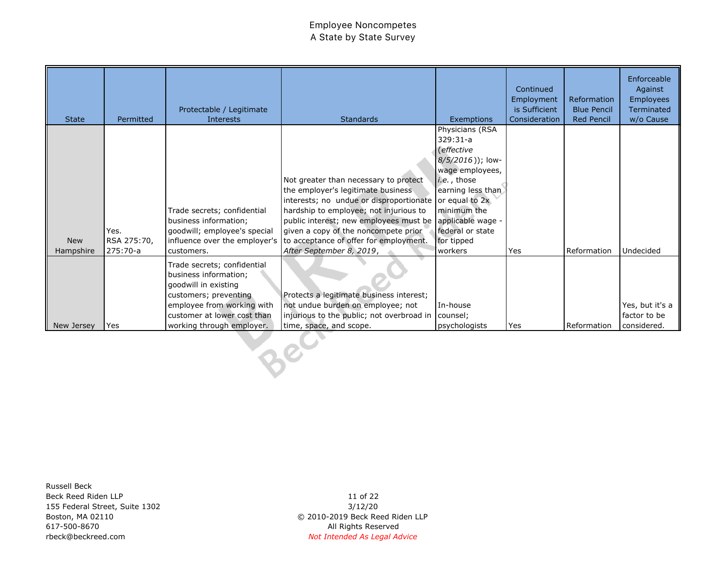| <b>State</b> | Permitted           | Protectable / Legitimate<br><b>Interests</b>                                                                                                                       | <b>Standards</b>                                                                                                                                                                                                                                                                             | Exemptions                                                                                                                                                                                                        | Continued<br>Employment<br>is Sufficient<br>Consideration | Reformation<br><b>Blue Pencil</b><br><b>Red Pencil</b> | Enforceable<br>Against<br><b>Employees</b><br>Terminated<br>w/o Cause |
|--------------|---------------------|--------------------------------------------------------------------------------------------------------------------------------------------------------------------|----------------------------------------------------------------------------------------------------------------------------------------------------------------------------------------------------------------------------------------------------------------------------------------------|-------------------------------------------------------------------------------------------------------------------------------------------------------------------------------------------------------------------|-----------------------------------------------------------|--------------------------------------------------------|-----------------------------------------------------------------------|
| <b>New</b>   | Yes.<br>RSA 275:70, | Trade secrets; confidential<br>business information;<br>goodwill; employee's special<br>influence over the employer's                                              | Not greater than necessary to protect<br>the employer's legitimate business<br>interests; no undue or disproportionate<br>hardship to employee; not injurious to<br>public interest; new employees must be<br>given a copy of the noncompete prior<br>to acceptance of offer for employment. | Physicians (RSA<br>$329:31-a$<br>(effective<br>8/5/2016)); low-<br>wage employees,<br>$i.e.$ , those<br>earning less than<br>or equal to 2x<br>minimum the<br>applicable wage -<br>federal or state<br>for tipped |                                                           |                                                        |                                                                       |
| Hampshire    | 275:70-a            | customers.                                                                                                                                                         | After September 8, 2019,                                                                                                                                                                                                                                                                     | workers                                                                                                                                                                                                           | Yes                                                       | Reformation                                            | Undecided                                                             |
|              |                     | Trade secrets; confidential<br>business information;<br>goodwill in existing<br>customers; preventing<br>employee from working with<br>customer at lower cost than | Protects a legitimate business interest;<br>not undue burden on employee; not<br>injurious to the public; not overbroad in counsel;                                                                                                                                                          | In-house                                                                                                                                                                                                          |                                                           |                                                        | Yes, but it's a<br>factor to be                                       |
| New Jersey   | Yes                 | working through employer.                                                                                                                                          | time, space, and scope.                                                                                                                                                                                                                                                                      | psychologists                                                                                                                                                                                                     | Yes                                                       | Reformation                                            | considered.                                                           |

Russell Beck Beck Reed Riden LLP 155 Federal Street, Suite 1302 Boston, MA 02110 617-500-8670 rbeck@beckreed.com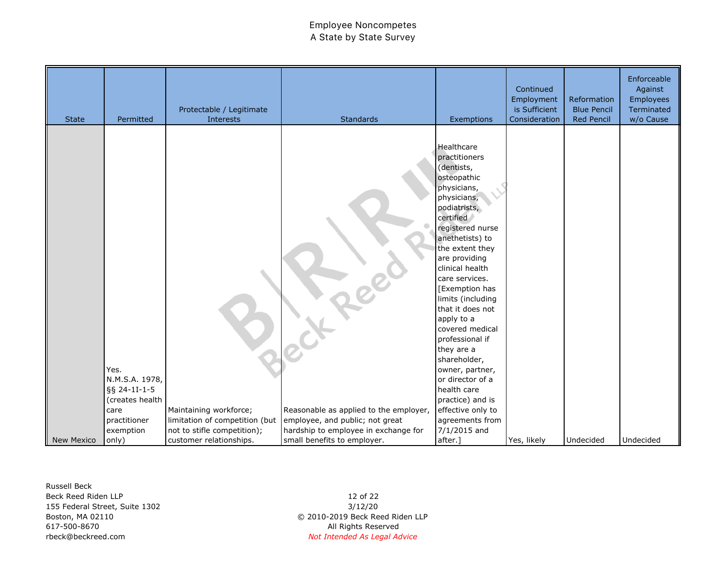| <b>State</b>      | Permitted                                                                                               | Protectable / Legitimate<br>Interests                                                                              | <b>Standards</b>                                                                                                                                 | Exemptions                                                                                                                                                                                                                                                                                                                                                                                                                                                                                                                    | Continued<br>Employment<br>is Sufficient<br>Consideration | Reformation<br><b>Blue Pencil</b><br><b>Red Pencil</b> | Enforceable<br>Against<br>Employees<br>Terminated<br>w/o Cause |
|-------------------|---------------------------------------------------------------------------------------------------------|--------------------------------------------------------------------------------------------------------------------|--------------------------------------------------------------------------------------------------------------------------------------------------|-------------------------------------------------------------------------------------------------------------------------------------------------------------------------------------------------------------------------------------------------------------------------------------------------------------------------------------------------------------------------------------------------------------------------------------------------------------------------------------------------------------------------------|-----------------------------------------------------------|--------------------------------------------------------|----------------------------------------------------------------|
| <b>New Mexico</b> | Yes.<br>N.M.S.A. 1978,<br>§§ 24-1I-1-5<br>(creates health<br>care<br>practitioner<br>exemption<br>only) | Maintaining workforce;<br>limitation of competition (but<br>not to stifle competition);<br>customer relationships. | Reasonable as applied to the employer,<br>employee, and public; not great<br>hardship to employee in exchange for<br>small benefits to employer. | Healthcare<br>practitioners<br>(dentists,<br>osteopathic<br>physicians,<br>physicians,<br>podiatrists,<br>certified<br>registered nurse<br>anethetists) to<br>the extent they<br>are providing<br>clinical health<br>care services.<br>[Exemption has<br>limits (including<br>that it does not<br>apply to a<br>covered medical<br>professional if<br>they are a<br>shareholder,<br>owner, partner,<br>or director of a<br>health care<br>practice) and is<br>effective only to<br>agreements from<br>7/1/2015 and<br>after.] | Yes, likely                                               | Undecided                                              | Undecided                                                      |

Russell Beck Beck Reed Riden LLP 155 Federal Street, Suite 1302 Boston, MA 02110 617-500-8670 rbeck@beckreed.com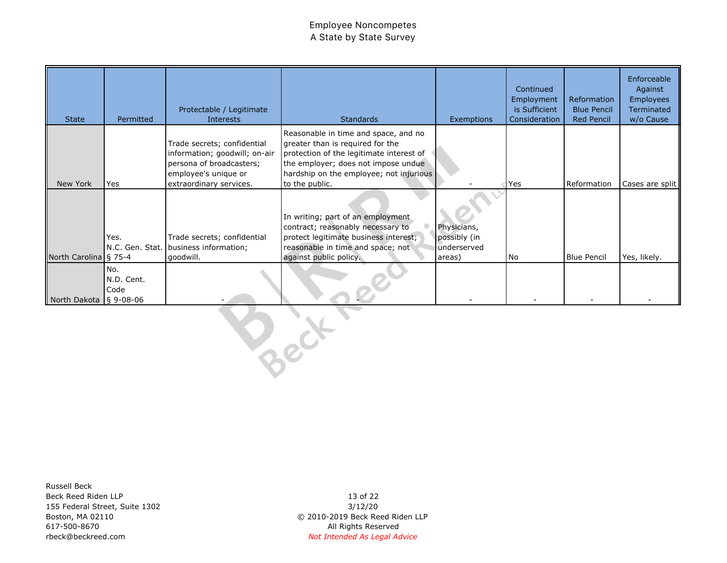| <b>State</b>           | Permitted                 | Protectable / Legitimate<br>Interests                                                                                                       | <b>Standards</b>                                                                                                                                                                                                         | Exemptions                                           | Continued<br>Employment<br>is Sufficient<br>Consideration | Reformation<br><b>Blue Pencil</b><br><b>Red Pencil</b> | Enforceable<br>Against<br><b>Employees</b><br>Terminated<br>w/o Cause |
|------------------------|---------------------------|---------------------------------------------------------------------------------------------------------------------------------------------|--------------------------------------------------------------------------------------------------------------------------------------------------------------------------------------------------------------------------|------------------------------------------------------|-----------------------------------------------------------|--------------------------------------------------------|-----------------------------------------------------------------------|
| New York               | Yes                       | Trade secrets; confidential<br>information; goodwill; on-air<br>persona of broadcasters;<br>employee's unique or<br>extraordinary services. | Reasonable in time and space, and no<br>greater than is required for the<br>protection of the legitimate interest of<br>the employer; does not impose undue<br>hardship on the employee; not injurious<br>to the public. |                                                      | Yes                                                       | Reformation                                            | Cases are split                                                       |
| North Carolina § 75-4  | Yes.                      | Trade secrets; confidential<br>N.C. Gen. Stat. business information;<br>goodwill.                                                           | In writing; part of an employment<br>contract; reasonably necessary to<br>protect legitimate business interest;<br>reasonable in time and space; not<br>against public policy.                                           | Physicians,<br>possibly (in<br>underserved<br>areas) | <b>No</b>                                                 | <b>Blue Pencil</b>                                     | Yes, likely.                                                          |
| North Dakota § 9-08-06 | No.<br>N.D. Cent.<br>Code |                                                                                                                                             |                                                                                                                                                                                                                          |                                                      |                                                           |                                                        |                                                                       |

Russell Beck Beck Reed Riden LLP 155 Federal Street, Suite 1302 Boston, MA 02110 617-500-8670 rbeck@beckreed.com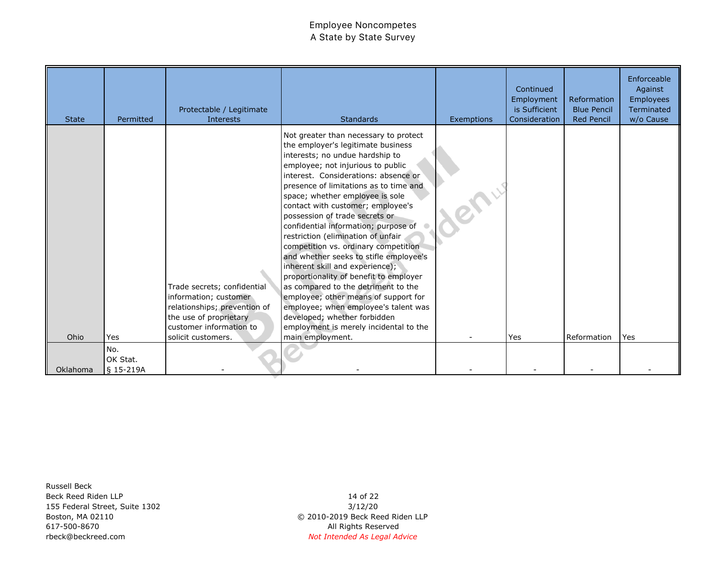| <b>State</b> | Permitted                    | Protectable / Legitimate<br>Interests                                                                                                                           | <b>Standards</b>                                                                                                                                                                                                                                                                                                                                                                                                                                                                                                                                                                                                                                                                                                                                                                                                  | Exemptions | Continued<br>Employment<br>is Sufficient<br>Consideration | <b>Reformation</b><br><b>Blue Pencil</b><br><b>Red Pencil</b> | Enforceable<br>Against<br><b>Employees</b><br>Terminated<br>w/o Cause |
|--------------|------------------------------|-----------------------------------------------------------------------------------------------------------------------------------------------------------------|-------------------------------------------------------------------------------------------------------------------------------------------------------------------------------------------------------------------------------------------------------------------------------------------------------------------------------------------------------------------------------------------------------------------------------------------------------------------------------------------------------------------------------------------------------------------------------------------------------------------------------------------------------------------------------------------------------------------------------------------------------------------------------------------------------------------|------------|-----------------------------------------------------------|---------------------------------------------------------------|-----------------------------------------------------------------------|
| Ohio         | Yes                          | Trade secrets; confidential<br>information; customer<br>relationships; prevention of<br>the use of proprietary<br>customer information to<br>solicit customers. | Not greater than necessary to protect<br>the employer's legitimate business<br>interests; no undue hardship to<br>employee; not injurious to public<br>interest. Considerations: absence or<br>presence of limitations as to time and<br>space; whether employee is sole<br>contact with customer; employee's<br>possession of trade secrets or<br>confidential information; purpose of<br>restriction (elimination of unfair<br>competition vs. ordinary competition<br>and whether seeks to stifle employee's<br>inherent skill and experience);<br>proportionality of benefit to employer<br>as compared to the detriment to the<br>employee; other means of support for<br>employee; when employee's talent was<br>developed; whether forbidden<br>employment is merely incidental to the<br>main employment. |            | Yes                                                       | Reformation                                                   | Yes                                                                   |
| Oklahoma     | No.<br>OK Stat.<br>§ 15-219A |                                                                                                                                                                 |                                                                                                                                                                                                                                                                                                                                                                                                                                                                                                                                                                                                                                                                                                                                                                                                                   |            |                                                           |                                                               |                                                                       |

Russell Beck Beck Reed Riden LLP 155 Federal Street, Suite 1302 Boston, MA 02110 617-500-8670 rbeck@beckreed.com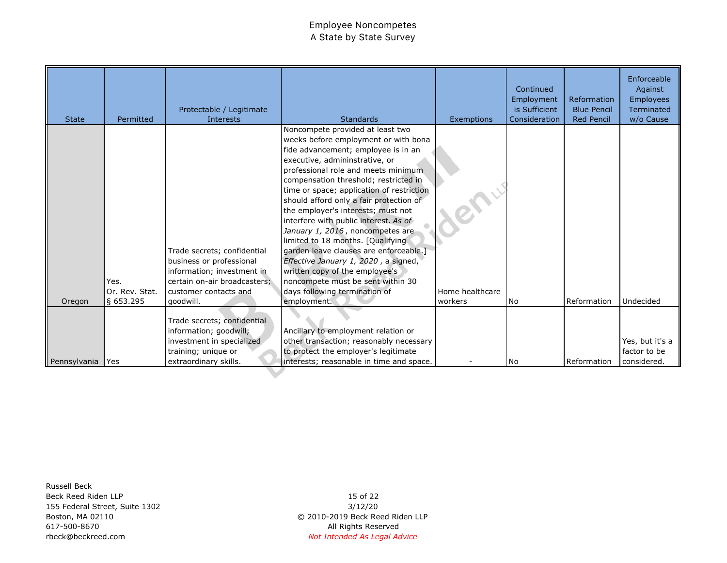| <b>State</b> | Permitted                           | Protectable / Legitimate<br><b>Interests</b>                                                                                                                | <b>Standards</b>                                                                                                                                                                                                                                                                                                                                                                                                                                                                                                                                                                                                                                                                            | Exemptions                 | Continued<br>Employment<br>is Sufficient<br>Consideration | Reformation<br><b>Blue Pencil</b><br><b>Red Pencil</b> | Enforceable<br>Against<br>Employees<br>Terminated<br>w/o Cause |
|--------------|-------------------------------------|-------------------------------------------------------------------------------------------------------------------------------------------------------------|---------------------------------------------------------------------------------------------------------------------------------------------------------------------------------------------------------------------------------------------------------------------------------------------------------------------------------------------------------------------------------------------------------------------------------------------------------------------------------------------------------------------------------------------------------------------------------------------------------------------------------------------------------------------------------------------|----------------------------|-----------------------------------------------------------|--------------------------------------------------------|----------------------------------------------------------------|
| Oregon       | Yes.<br>Or. Rev. Stat.<br>\$653.295 | Trade secrets; confidential<br>business or professional<br>information; investment in<br>certain on-air broadcasters;<br>customer contacts and<br>goodwill. | Noncompete provided at least two<br>weeks before employment or with bona<br>fide advancement; employee is in an<br>executive, admininstrative, or<br>professional role and meets minimum<br>compensation threshold; restricted in<br>time or space; application of restriction<br>should afford only a fair protection of<br>the employer's interests; must not<br>interfere with public interest. As of<br>January 1, 2016, noncompetes are<br>limited to 18 months. [Qualifying]<br>garden leave clauses are enforceable.]<br>Effective January 1, 2020, a signed,<br>written copy of the employee's<br>noncompete must be sent within 30<br>days following termination of<br>employment. | Home healthcare<br>workers | <b>No</b>                                                 | Reformation                                            | Undecided                                                      |
| Pennsylvania | Yes                                 | Trade secrets; confidential<br>information; goodwill;<br>investment in specialized<br>training; unique or<br>extraordinary skills.                          | Ancillary to employment relation or<br>other transaction; reasonably necessary<br>to protect the employer's legitimate<br>interests; reasonable in time and space.                                                                                                                                                                                                                                                                                                                                                                                                                                                                                                                          |                            | No                                                        | Reformation                                            | Yes, but it's a<br>factor to be<br>considered.                 |

Russell Beck Beck Reed Riden LLP 155 Federal Street, Suite 1302 Boston, MA 02110 617-500-8670 rbeck@beckreed.com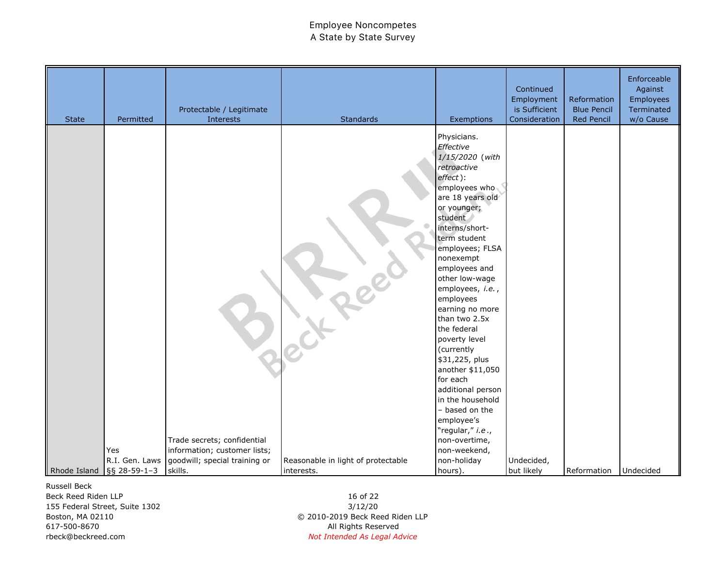| <b>State</b> | Permitted                                             | Protectable / Legitimate<br>Interests                                                        | <b>Standards</b>                   | Exemptions                                                                                                                                                                                                                                                                                                                                                                                                                                                                                                                                                   | Continued<br>Employment<br>is Sufficient<br>Consideration | Reformation<br><b>Blue Pencil</b><br><b>Red Pencil</b> | Enforceable<br>Against<br>Employees<br>Terminated<br>w/o Cause |
|--------------|-------------------------------------------------------|----------------------------------------------------------------------------------------------|------------------------------------|--------------------------------------------------------------------------------------------------------------------------------------------------------------------------------------------------------------------------------------------------------------------------------------------------------------------------------------------------------------------------------------------------------------------------------------------------------------------------------------------------------------------------------------------------------------|-----------------------------------------------------------|--------------------------------------------------------|----------------------------------------------------------------|
|              | Yes<br>R.I. Gen. Laws                                 | Trade secrets; confidential<br>information; customer lists;<br>goodwill; special training or | Reasonable in light of protectable | Physicians.<br>Effective<br>1/15/2020 (with<br>retroactive<br>effect):<br>employees who<br>are 18 years old<br>or younger;<br>student<br>interns/short-<br>term student<br>employees; FLSA<br>nonexempt<br>employees and<br>other low-wage<br>employees, i.e.,<br>employees<br>earning no more<br>than two 2.5x<br>the federal<br>poverty level<br>(currently<br>\$31,225, plus<br>another \$11,050<br>for each<br>additional person<br>in the household<br>- based on the<br>employee's<br>"regular," i.e.,<br>non-overtime,<br>non-weekend,<br>non-holiday | Undecided,                                                |                                                        |                                                                |
|              | Rhode Island $\left  \frac{65}{52} \right  28-59-1-3$ | skills.                                                                                      | interests.                         | hours).                                                                                                                                                                                                                                                                                                                                                                                                                                                                                                                                                      | but likely                                                | Reformation                                            | Undecided                                                      |

Russell Beck

Beck Reed Riden LLP 155 Federal Street, Suite 1302 Boston, MA 02110 617-500-8670 rbeck@beckreed.com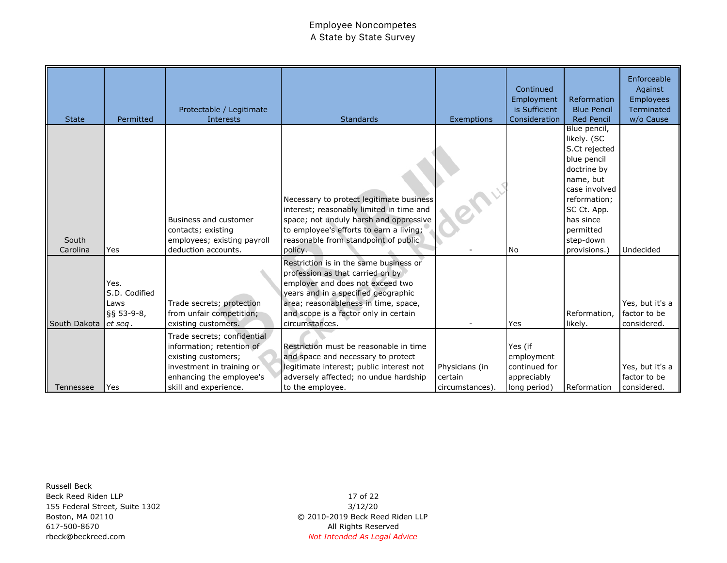| <b>State</b>         | Permitted                                      | Protectable / Legitimate<br><b>Interests</b>                                                                                                                      | <b>Standards</b>                                                                                                                                                                                                                                         | Exemptions                                   | Continued<br>Employment<br>is Sufficient<br>Consideration             | Reformation<br><b>Blue Pencil</b><br><b>Red Pencil</b>                                                                                                                                         | Enforceable<br>Against<br>Employees<br>Terminated<br>w/o Cause |
|----------------------|------------------------------------------------|-------------------------------------------------------------------------------------------------------------------------------------------------------------------|----------------------------------------------------------------------------------------------------------------------------------------------------------------------------------------------------------------------------------------------------------|----------------------------------------------|-----------------------------------------------------------------------|------------------------------------------------------------------------------------------------------------------------------------------------------------------------------------------------|----------------------------------------------------------------|
| South<br>Carolina    | Yes                                            | Business and customer<br>contacts; existing<br>employees; existing payroll<br>deduction accounts.                                                                 | Necessary to protect legitimate business<br>interest; reasonably limited in time and<br>space; not unduly harsh and oppressive<br>to employee's efforts to earn a living;<br>reasonable from standpoint of public<br>policy.                             |                                              | No                                                                    | Blue pencil,<br>likely. (SC<br>S.Ct rejected<br>blue pencil<br>doctrine by<br>name, but<br>case involved<br>reformation;<br>SC Ct. App.<br>has since<br>permitted<br>step-down<br>provisions.) | Undecided                                                      |
| South Dakota et seq. | Yes.<br>S.D. Codified<br>Laws<br>$§$ § 53-9-8, | Trade secrets; protection<br>from unfair competition;<br>existing customers.                                                                                      | Restriction is in the same business or<br>profession as that carried on by<br>employer and does not exceed two<br>years and in a specified geographic<br>area; reasonableness in time, space,<br>and scope is a factor only in certain<br>circumstances. |                                              | Yes                                                                   | Reformation,<br>likely.                                                                                                                                                                        | Yes, but it's a<br>factor to be<br>considered.                 |
| Tennessee            | Yes                                            | Trade secrets; confidential<br>information; retention of<br>existing customers;<br>investment in training or<br>enhancing the employee's<br>skill and experience. | Restriction must be reasonable in time<br>and space and necessary to protect<br>legitimate interest; public interest not<br>adversely affected; no undue hardship<br>to the employee.                                                                    | Physicians (in<br>certain<br>circumstances). | Yes (if<br>employment<br>continued for<br>appreciably<br>long period) | Reformation                                                                                                                                                                                    | Yes, but it's a<br>factor to be<br>considered.                 |

Russell Beck Beck Reed Riden LLP 155 Federal Street, Suite 1302 Boston, MA 02110 617-500-8670 rbeck@beckreed.com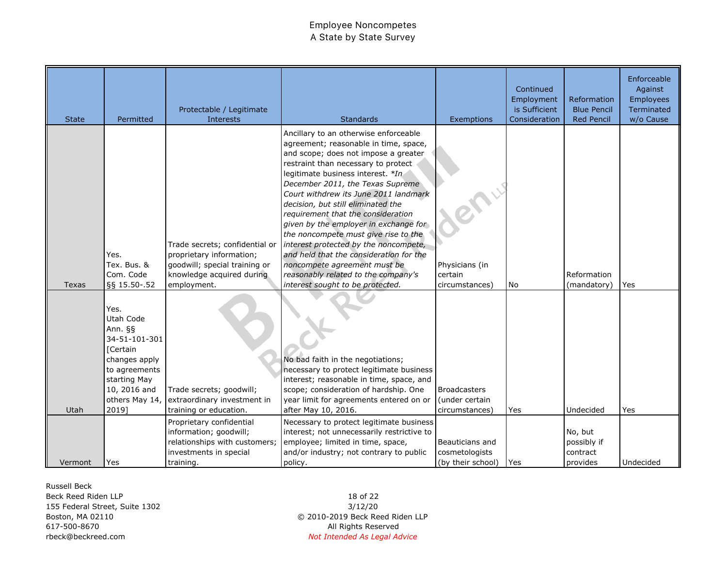| <b>State</b> | Permitted                                                                                                                                              | Protectable / Legitimate<br>Interests                                             | <b>Standards</b>                                                                                                                                                                                                                                                                                                                                                                                                                             | Exemptions                                              | Continued<br>Employment<br>is Sufficient<br>Consideration | Reformation<br><b>Blue Pencil</b><br><b>Red Pencil</b> | Enforceable<br>Against<br>Employees<br>Terminated<br>w/o Cause |
|--------------|--------------------------------------------------------------------------------------------------------------------------------------------------------|-----------------------------------------------------------------------------------|----------------------------------------------------------------------------------------------------------------------------------------------------------------------------------------------------------------------------------------------------------------------------------------------------------------------------------------------------------------------------------------------------------------------------------------------|---------------------------------------------------------|-----------------------------------------------------------|--------------------------------------------------------|----------------------------------------------------------------|
|              |                                                                                                                                                        |                                                                                   | Ancillary to an otherwise enforceable<br>agreement; reasonable in time, space,<br>and scope; does not impose a greater<br>restraint than necessary to protect<br>legitimate business interest. *In<br>December 2011, the Texas Supreme<br>Court withdrew its June 2011 landmark<br>decision, but still eliminated the<br>requirement that the consideration<br>given by the employer in exchange for<br>the noncompete must give rise to the |                                                         |                                                           |                                                        |                                                                |
|              |                                                                                                                                                        | Trade secrets; confidential or                                                    | interest protected by the noncompete,                                                                                                                                                                                                                                                                                                                                                                                                        |                                                         |                                                           |                                                        |                                                                |
|              | Yes.                                                                                                                                                   | proprietary information;                                                          | and held that the consideration for the                                                                                                                                                                                                                                                                                                                                                                                                      |                                                         |                                                           |                                                        |                                                                |
|              | Tex. Bus. &<br>Com. Code                                                                                                                               | goodwill; special training or<br>knowledge acquired during                        | noncompete agreement must be<br>reasonably related to the company's                                                                                                                                                                                                                                                                                                                                                                          | Physicians (in<br>certain                               |                                                           | Reformation                                            |                                                                |
| Texas        | §§ 15.50-.52                                                                                                                                           | employment.                                                                       | interest sought to be protected.                                                                                                                                                                                                                                                                                                                                                                                                             | circumstances)                                          | <b>No</b>                                                 | (mandatory)                                            | Yes                                                            |
| Utah         | Yes.<br>Utah Code<br>Ann. §§<br>34-51-101-301<br>[Certain<br>changes apply<br>to agreements<br>starting May<br>10, 2016 and<br>others May 14,<br>2019] | Trade secrets; goodwill;<br>extraordinary investment in<br>training or education. | No bad faith in the negotiations;<br>necessary to protect legitimate business<br>interest; reasonable in time, space, and<br>scope; consideration of hardship. One<br>year limit for agreements entered on or<br>after May 10, 2016.                                                                                                                                                                                                         | <b>Broadcasters</b><br>(under certain<br>circumstances) | Yes                                                       | Undecided                                              | Yes                                                            |
|              |                                                                                                                                                        | Proprietary confidential                                                          | Necessary to protect legitimate business                                                                                                                                                                                                                                                                                                                                                                                                     |                                                         |                                                           |                                                        |                                                                |
|              |                                                                                                                                                        | information; goodwill;                                                            | interest; not unnecessarily restrictive to                                                                                                                                                                                                                                                                                                                                                                                                   |                                                         |                                                           | No, but                                                |                                                                |
|              |                                                                                                                                                        | relationships with customers;                                                     | employee; limited in time, space,                                                                                                                                                                                                                                                                                                                                                                                                            | Beauticians and                                         |                                                           | possibly if                                            |                                                                |
|              |                                                                                                                                                        | investments in special                                                            | and/or industry; not contrary to public                                                                                                                                                                                                                                                                                                                                                                                                      | cosmetologists                                          |                                                           | contract                                               |                                                                |
| Vermont      | Yes                                                                                                                                                    | training.                                                                         | policy.                                                                                                                                                                                                                                                                                                                                                                                                                                      | (by their school)                                       | Yes                                                       | provides                                               | Undecided                                                      |

Russell Beck Beck Reed Riden LLP 155 Federal Street, Suite 1302 Boston, MA 02110 617-500-8670 rbeck@beckreed.com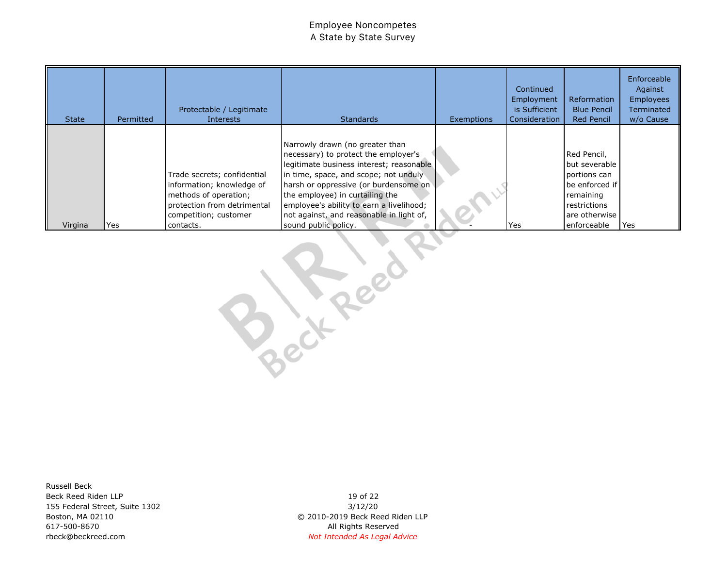| <b>State</b> | Permitted | Protectable / Legitimate<br><b>Interests</b>                                                                                                           | <b>Standards</b>                                                                                                                                                                                                                                                                                                                                         | <b>Exemptions</b> | Continued<br>Employment<br>is Sufficient<br>Consideration | Reformation<br><b>Blue Pencil</b><br><b>Red Pencil</b>                                                                      | Enforceable<br>Against<br><b>Employees</b><br>Terminated<br>w/o Cause |
|--------------|-----------|--------------------------------------------------------------------------------------------------------------------------------------------------------|----------------------------------------------------------------------------------------------------------------------------------------------------------------------------------------------------------------------------------------------------------------------------------------------------------------------------------------------------------|-------------------|-----------------------------------------------------------|-----------------------------------------------------------------------------------------------------------------------------|-----------------------------------------------------------------------|
| Virgina      | Yes       | Trade secrets; confidential<br>information; knowledge of<br>methods of operation;<br>protection from detrimental<br>competition; customer<br>contacts. | Narrowly drawn (no greater than<br>necessary) to protect the employer's<br>legitimate business interest; reasonable<br>in time, space, and scope; not unduly<br>harsh or oppressive (or burdensome on<br>the employee) in curtailing the<br>employee's ability to earn a livelihood;<br>not against, and reasonable in light of,<br>sound public policy. |                   | Yes                                                       | Red Pencil,<br>but severable<br>portions can<br>be enforced if<br>remaining<br>restrictions<br>are otherwise<br>enforceable | Yes                                                                   |

Russell Beck Beck Reed Riden LLP 155 Federal Street, Suite 1302 Boston, MA 02110 617-500-8670 rbeck@beckreed.com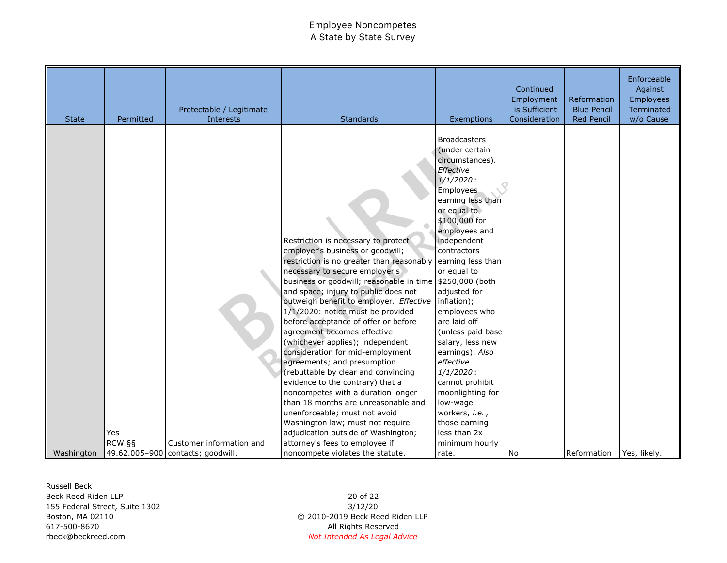| <b>State</b> | Permitted     | Protectable / Legitimate<br>Interests | <b>Standards</b>                                                                                                                                                                                                                                                                                                                                                                                                                                                                                                                                                                                                                                                                                                                                                                                                               | Exemptions                                                                                                                                                                                                                                                                                                                                                                                                                                                                                                                         | Continued<br>Employment<br>is Sufficient<br>Consideration | Reformation<br><b>Blue Pencil</b><br><b>Red Pencil</b> | Enforceable<br>Against<br>Employees<br>Terminated<br>w/o Cause |
|--------------|---------------|---------------------------------------|--------------------------------------------------------------------------------------------------------------------------------------------------------------------------------------------------------------------------------------------------------------------------------------------------------------------------------------------------------------------------------------------------------------------------------------------------------------------------------------------------------------------------------------------------------------------------------------------------------------------------------------------------------------------------------------------------------------------------------------------------------------------------------------------------------------------------------|------------------------------------------------------------------------------------------------------------------------------------------------------------------------------------------------------------------------------------------------------------------------------------------------------------------------------------------------------------------------------------------------------------------------------------------------------------------------------------------------------------------------------------|-----------------------------------------------------------|--------------------------------------------------------|----------------------------------------------------------------|
|              | Yes<br>RCW §§ | Customer information and              | Restriction is necessary to protect<br>employer's business or goodwill;<br>restriction is no greater than reasonably<br>necessary to secure employer's<br>business or goodwill; reasonable in time \$250,000 (both<br>and space; injury to public does not<br>outweigh benefit to employer. Effective<br>1/1/2020: notice must be provided<br>before acceptance of offer or before<br>agreement becomes effective<br>(whichever applies); independent<br>consideration for mid-employment<br>agreements; and presumption<br>(rebuttable by clear and convincing<br>evidence to the contrary) that a<br>noncompetes with a duration longer<br>than 18 months are unreasonable and<br>unenforceable; must not avoid<br>Washington law; must not require<br>adjudication outside of Washington;<br>attorney's fees to employee if | <b>Broadcasters</b><br>(under certain<br>circumstances).<br>Effective<br>$1/1/2020$ :<br><b>Employees</b><br>earning less than<br>or equal to<br>\$100,000 for<br>employees and<br>independent<br>contractors<br>earning less than<br>or equal to<br>adjusted for<br>inflation);<br>employees who<br>are laid off<br>(unless paid base<br>salary, less new<br>earnings). Also<br>effective<br>$1/1/2020$ :<br>cannot prohibit<br>moonlighting for<br>low-wage<br>workers, i.e.,<br>those earning<br>less than 2x<br>minimum hourly |                                                           |                                                        |                                                                |
| Washington   |               | 49.62.005-900 contacts; goodwill.     | noncompete violates the statute.                                                                                                                                                                                                                                                                                                                                                                                                                                                                                                                                                                                                                                                                                                                                                                                               | rate.                                                                                                                                                                                                                                                                                                                                                                                                                                                                                                                              | <b>No</b>                                                 | Reformation                                            | Yes, likely.                                                   |

Russell Beck Beck Reed Riden LLP 155 Federal Street, Suite 1302 Boston, MA 02110 617-500-8670 rbeck@beckreed.com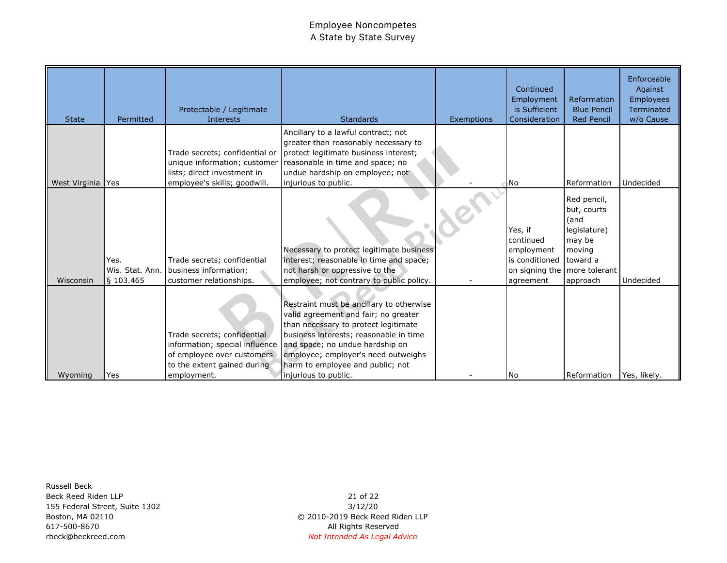| <b>State</b>      | Permitted       | Protectable / Legitimate<br>Interests                                    | <b>Standards</b>                                                                                                         | Exemptions | Continued<br>Employment<br>is Sufficient<br>Consideration | Reformation<br><b>Blue Pencil</b><br><b>Red Pencil</b> | Enforceable<br>Against<br>Employees<br>Terminated<br>w/o Cause |
|-------------------|-----------------|--------------------------------------------------------------------------|--------------------------------------------------------------------------------------------------------------------------|------------|-----------------------------------------------------------|--------------------------------------------------------|----------------------------------------------------------------|
|                   |                 |                                                                          | Ancillary to a lawful contract; not<br>greater than reasonably necessary to                                              |            |                                                           |                                                        |                                                                |
|                   |                 | Trade secrets; confidential or                                           | protect legitimate business interest;                                                                                    |            |                                                           |                                                        |                                                                |
|                   |                 | unique information; customer                                             | reasonable in time and space; no                                                                                         |            |                                                           |                                                        |                                                                |
|                   |                 | lists; direct investment in                                              | undue hardship on employee; not                                                                                          |            |                                                           |                                                        |                                                                |
| West Virginia Yes |                 | employee's skills; goodwill.                                             | injurious to public.                                                                                                     |            | N <sub>o</sub>                                            | Reformation                                            | Undecided                                                      |
|                   |                 |                                                                          |                                                                                                                          |            |                                                           | Red pencil,<br>but, courts<br>(and                     |                                                                |
|                   |                 |                                                                          |                                                                                                                          |            | Yes, if                                                   | legislature)                                           |                                                                |
|                   |                 |                                                                          |                                                                                                                          |            | continued                                                 | may be                                                 |                                                                |
|                   |                 |                                                                          | Necessary to protect legitimate business                                                                                 |            | employment                                                | moving                                                 |                                                                |
|                   | Yes.            | Trade secrets; confidential                                              | interest; reasonable in time and space;                                                                                  |            | is conditioned                                            | toward a                                               |                                                                |
|                   | Wis. Stat. Ann. | business information;                                                    | not harsh or oppressive to the                                                                                           |            | on signing the                                            | more tolerant                                          |                                                                |
| Wisconsin         | § 103.465       | customer relationships.                                                  | employee; not contrary to public policy.                                                                                 |            | agreement                                                 | approach                                               | Undecided                                                      |
|                   |                 |                                                                          | Restraint must be ancillary to otherwise<br>valid agreement and fair; no greater<br>than necessary to protect legitimate |            |                                                           |                                                        |                                                                |
|                   |                 | Trade secrets; confidential                                              | business interests; reasonable in time                                                                                   |            |                                                           |                                                        |                                                                |
|                   |                 | information; special influence                                           | and space; no undue hardship on                                                                                          |            |                                                           |                                                        |                                                                |
|                   |                 |                                                                          |                                                                                                                          |            |                                                           |                                                        |                                                                |
|                   |                 |                                                                          |                                                                                                                          |            |                                                           |                                                        |                                                                |
| Wyoming           | Yes             | of employee over customers<br>to the extent gained during<br>employment. | employee; employer's need outweighs<br>harm to employee and public; not<br>injurious to public.                          |            | <b>No</b>                                                 | Reformation                                            | Yes, likely.                                                   |

Russell Beck Beck Reed Riden LLP 155 Federal Street, Suite 1302 Boston, MA 02110 617-500-8670 rbeck@beckreed.com